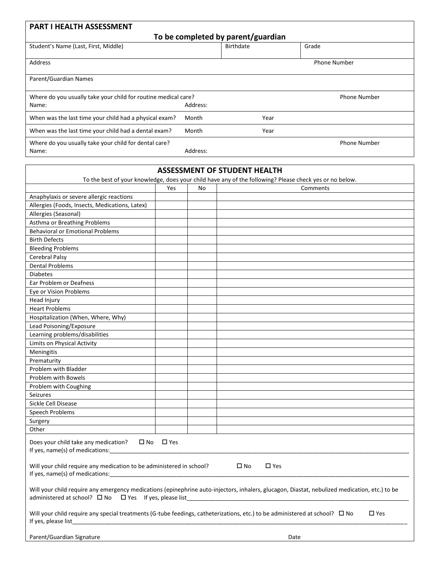| <b>PART I HEALTH ASSESSMENT</b>                                         |          |           |                     |  |  |  |  |  |
|-------------------------------------------------------------------------|----------|-----------|---------------------|--|--|--|--|--|
| To be completed by parent/guardian                                      |          |           |                     |  |  |  |  |  |
| Student's Name (Last, First, Middle)                                    |          | Birthdate | Grade               |  |  |  |  |  |
| Address                                                                 |          |           | Phone Number        |  |  |  |  |  |
| Parent/Guardian Names                                                   |          |           |                     |  |  |  |  |  |
| Where do you usually take your child for routine medical care?<br>Name: | Address: |           | <b>Phone Number</b> |  |  |  |  |  |
| When was the last time your child had a physical exam?                  | Month    | Year      |                     |  |  |  |  |  |
| When was the last time your child had a dental exam?                    | Month    | Year      |                     |  |  |  |  |  |
| Where do you usually take your child for dental care?<br>Name:          | Address: |           | <b>Phone Number</b> |  |  |  |  |  |

|                                                                                                         |                      |    | <b>ASSESSMENT OF STUDENT HEALTH</b><br>To the best of your knowledge, does your child have any of the following? Please check yes or no below. |
|---------------------------------------------------------------------------------------------------------|----------------------|----|------------------------------------------------------------------------------------------------------------------------------------------------|
|                                                                                                         | Yes                  | No | Comments                                                                                                                                       |
| Anaphylaxis or severe allergic reactions                                                                |                      |    |                                                                                                                                                |
| Allergies (Foods, Insects, Medications, Latex)                                                          |                      |    |                                                                                                                                                |
| Allergies (Seasonal)                                                                                    |                      |    |                                                                                                                                                |
| Asthma or Breathing Problems                                                                            |                      |    |                                                                                                                                                |
| <b>Behavioral or Emotional Problems</b>                                                                 |                      |    |                                                                                                                                                |
| <b>Birth Defects</b>                                                                                    |                      |    |                                                                                                                                                |
| <b>Bleeding Problems</b>                                                                                |                      |    |                                                                                                                                                |
| Cerebral Palsy                                                                                          |                      |    |                                                                                                                                                |
| <b>Dental Problems</b>                                                                                  |                      |    |                                                                                                                                                |
|                                                                                                         |                      |    |                                                                                                                                                |
| <b>Diabetes</b>                                                                                         |                      |    |                                                                                                                                                |
| Ear Problem or Deafness                                                                                 |                      |    |                                                                                                                                                |
| Eye or Vision Problems                                                                                  |                      |    |                                                                                                                                                |
| Head Injury                                                                                             |                      |    |                                                                                                                                                |
| <b>Heart Problems</b>                                                                                   |                      |    |                                                                                                                                                |
| Hospitalization (When, Where, Why)                                                                      |                      |    |                                                                                                                                                |
| Lead Poisoning/Exposure                                                                                 |                      |    |                                                                                                                                                |
| Learning problems/disabilities                                                                          |                      |    |                                                                                                                                                |
| Limits on Physical Activity                                                                             |                      |    |                                                                                                                                                |
| Meningitis                                                                                              |                      |    |                                                                                                                                                |
| Prematurity                                                                                             |                      |    |                                                                                                                                                |
| Problem with Bladder                                                                                    |                      |    |                                                                                                                                                |
| Problem with Bowels                                                                                     |                      |    |                                                                                                                                                |
| Problem with Coughing                                                                                   |                      |    |                                                                                                                                                |
| <b>Seizures</b>                                                                                         |                      |    |                                                                                                                                                |
| Sickle Cell Disease                                                                                     |                      |    |                                                                                                                                                |
| Speech Problems                                                                                         |                      |    |                                                                                                                                                |
| Surgery                                                                                                 |                      |    |                                                                                                                                                |
| Other                                                                                                   |                      |    |                                                                                                                                                |
| Does your child take any medication?<br>If yes, name(s) of medications:                                 | $\Box$ No $\Box$ Yes |    |                                                                                                                                                |
| Will your child require any medication to be administered in school?<br>If yes, name(s) of medications: |                      |    | $\square$ No<br>$\square$ Yes                                                                                                                  |
| administered at school? □ No □ Yes If yes, please list__________________________                        |                      |    | Will your child require any emergency medications (epinephrine auto-injectors, inhalers, glucagon, Diastat, nebulized medication, etc.) to be  |
| If yes, please list                                                                                     |                      |    | Will your child require any special treatments (G-tube feedings, catheterizations, etc.) to be administered at school? □ No<br>$\square$ Yes   |
| Parent/Guardian Signature                                                                               |                      |    | Date                                                                                                                                           |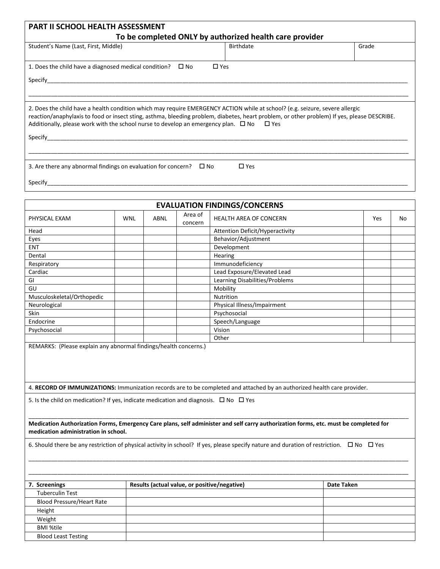|                                                                                         | <b>PART II SCHOOL HEALTH ASSESSMENT</b> |                  |                    |                                                                                                                                             |     |    |
|-----------------------------------------------------------------------------------------|-----------------------------------------|------------------|--------------------|---------------------------------------------------------------------------------------------------------------------------------------------|-----|----|
|                                                                                         |                                         |                  |                    | To be completed ONLY by authorized health care provider                                                                                     |     |    |
| Student's Name (Last, First, Middle)                                                    |                                         | <b>Birthdate</b> | Grade              |                                                                                                                                             |     |    |
| 1. Does the child have a diagnosed medical condition? $\Box$ No                         |                                         |                  |                    | $\Box$ Yes                                                                                                                                  |     |    |
|                                                                                         |                                         |                  |                    |                                                                                                                                             |     |    |
|                                                                                         |                                         |                  |                    |                                                                                                                                             |     |    |
|                                                                                         |                                         |                  |                    | 2. Does the child have a health condition which may require EMERGENCY ACTION while at school? (e.g. seizure, severe allergic                |     |    |
|                                                                                         |                                         |                  |                    | reaction/anaphylaxis to food or insect sting, asthma, bleeding problem, diabetes, heart problem, or other problem) If yes, please DESCRIBE. |     |    |
| Additionally, please work with the school nurse to develop an emergency plan. $\Box$ No |                                         |                  |                    | $\Box$ Yes                                                                                                                                  |     |    |
|                                                                                         |                                         |                  |                    |                                                                                                                                             |     |    |
|                                                                                         |                                         |                  |                    |                                                                                                                                             |     |    |
| 3. Are there any abnormal findings on evaluation for concern? $\square$ No              |                                         |                  |                    | $\Box$ Yes                                                                                                                                  |     |    |
|                                                                                         |                                         |                  |                    |                                                                                                                                             |     |    |
|                                                                                         |                                         |                  |                    |                                                                                                                                             |     |    |
|                                                                                         |                                         |                  |                    | <b>EVALUATION FINDINGS/CONCERNS</b>                                                                                                         |     |    |
| PHYSICAL EXAM                                                                           | <b>WNL</b>                              | ABNL             | Area of<br>concern | <b>HEALTH AREA OF CONCERN</b>                                                                                                               | Yes | No |
| Head                                                                                    |                                         |                  |                    | Attention Deficit/Hyperactivity                                                                                                             |     |    |
| Eyes                                                                                    |                                         |                  |                    | Behavior/Adjustment                                                                                                                         |     |    |
| <b>ENT</b>                                                                              |                                         |                  |                    | Development                                                                                                                                 |     |    |
| Dental                                                                                  |                                         |                  |                    | Hearing                                                                                                                                     |     |    |
| Respiratory                                                                             |                                         |                  |                    | Immunodeficiency                                                                                                                            |     |    |
| Cardiac                                                                                 |                                         |                  |                    | Lead Exposure/Elevated Lead                                                                                                                 |     |    |
| GI                                                                                      |                                         |                  |                    | Learning Disabilities/Problems                                                                                                              |     |    |
| GU                                                                                      |                                         |                  |                    | Mobility                                                                                                                                    |     |    |
| Musculoskeletal/Orthopedic                                                              |                                         |                  |                    | Nutrition                                                                                                                                   |     |    |
|                                                                                         |                                         |                  |                    | Physical Illness/Impairment                                                                                                                 |     |    |
|                                                                                         |                                         |                  |                    | Psychosocial                                                                                                                                |     |    |
|                                                                                         |                                         |                  |                    |                                                                                                                                             |     |    |
| Endocrine                                                                               |                                         |                  |                    | Speech/Language                                                                                                                             |     |    |
| Neurological<br><b>Skin</b><br>Psychosocial                                             |                                         |                  |                    | Vision                                                                                                                                      |     |    |

6. Should there be any restriction of physical activity in school? If yes, please specify nature and duration of restriction.  $\Box$  No  $\Box$  Yes

| 7. Screenings                    | Results (actual value, or positive/negative) | Date Taken |
|----------------------------------|----------------------------------------------|------------|
| <b>Tuberculin Test</b>           |                                              |            |
| <b>Blood Pressure/Heart Rate</b> |                                              |            |
| Height                           |                                              |            |
| Weight                           |                                              |            |
| <b>BMI %tile</b>                 |                                              |            |
| <b>Blood Least Testing</b>       |                                              |            |

\_\_\_\_\_\_\_\_\_\_\_\_\_\_\_\_\_\_\_\_\_\_\_\_\_\_\_\_\_\_\_\_\_\_\_\_\_\_\_\_\_\_\_\_\_\_\_\_\_\_\_\_\_\_\_\_\_\_\_\_\_\_\_\_\_\_\_\_\_\_\_\_\_\_\_\_\_\_\_\_\_\_\_\_\_\_\_\_\_\_\_\_\_\_\_\_\_\_\_\_\_\_\_\_\_\_\_\_\_\_\_\_\_\_\_\_\_\_ \_\_\_\_\_\_\_\_\_\_\_\_\_\_\_\_\_\_\_\_\_\_\_\_\_\_\_\_\_\_\_\_\_\_\_\_\_\_\_\_\_\_\_\_\_\_\_\_\_\_\_\_\_\_\_\_\_\_\_\_\_\_\_\_\_\_\_\_\_\_\_\_\_\_\_\_\_\_\_\_\_\_\_\_\_\_\_\_\_\_\_\_\_\_\_\_\_\_\_\_\_\_\_\_\_\_\_\_\_\_\_\_\_\_\_\_\_\_